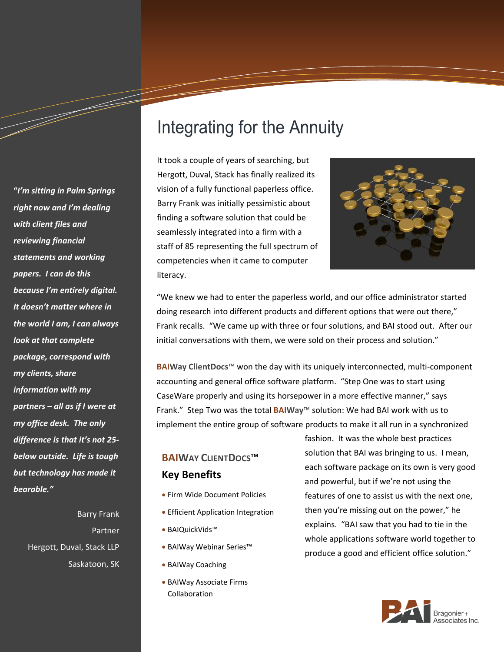# Integrating for the Annuity

It took a couple of years of searching, but Hergott, Duval, Stack has finally realized its vision of a fully functional paperless office. Barry Frank was initially pessimistic about finding a software solution that could be seamlessly integrated into a firm with a staff of 85 representing the full spectrum of competencies when it came to computer literacy.



"We knew we had to enter the paperless world, and our office administrator started doing research into different products and different options that were out there," Frank recalls. "We came up with three or four solutions, and BAI stood out. After our initial conversations with them, we were sold on their process and solution."

**BAIWay ClientDocs**™ won the day with its uniquely interconnected, multi-component accounting and general office software platform. "Step One was to start using CaseWare properly and using its horsepower in a more effective manner," says Frank." Step Two was the total **BAIWay**™ solution: We had BAI work with us to implement the entire group of software products to make it all run in a synchronized

## **BAIWAY CLIENTDOCS**™ **Key Benefits**

- Firm Wide Document Policies
- **Efficient Application Integration**
- BAIQuickVids™
- BAIWay Webinar Series™
- BAIWay Coaching
- BAIWay Associate Firms Collaboration

fashion. It was the whole best practices solution that BAI was bringing to us. I mean, each software package on its own is very good and powerful, but if we're not using the features of one to assist us with the next one, then you're missing out on the power," he explains. "BAI saw that you had to tie in the whole applications software world together to produce a good and efficient office solution."



*right now and I'm dealing with client files and reviewing financial statements and working papers. I can do this because I'm entirely digital. It doesn't matter where in the world I am, I can always look at that complete package, correspond with my clients, share information with my partners – all as if I were at my office desk. The only difference is that it's not 25 below outside. Life is tough but technology has made it bearable."*

**"***I'm sitting in Palm Springs* 

a dheka ku dheka ku dheka ku dheka ku dheka ku dheka ku dheka ku dheka ku dheka ku dheka ku dheka ku dheka ku <br>Marko dheka ku dheka ku dheka ku dheka ku dheka ku dheka ku dheka ku dheka ku dheka ku dheka ku dheka ku dheka

Barry Frank Partner Hergott, Duval, Stack LLP Saskatoon, SK